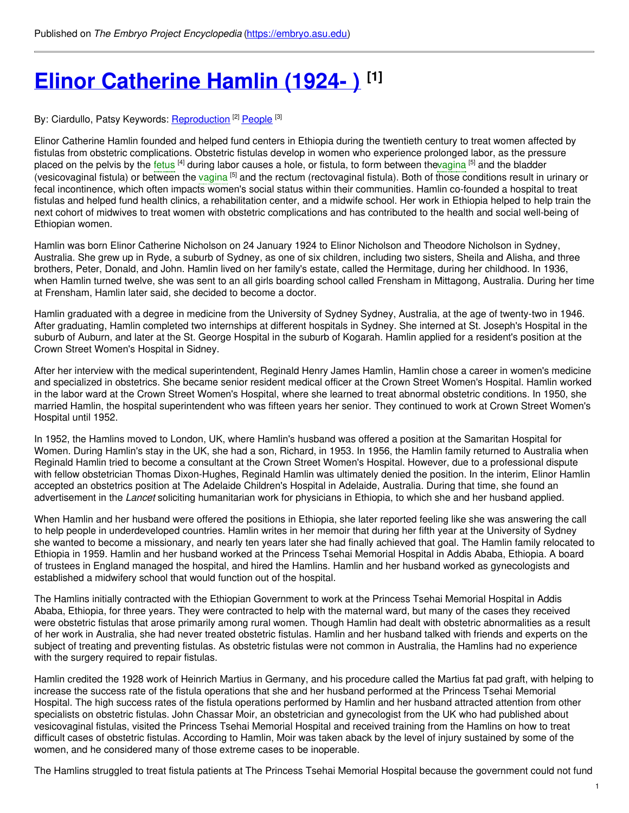# **Elinor [Catherine](https://embryo.asu.edu/pages/elinor-catherine-hamlin-1924) Hamlin (1924- ) [1]**

#### By: Ciardullo, Patsy Keywords: <u>[Reproduction](https://embryo.asu.edu/keywords/reproduction)</u> [2] [People](https://embryo.asu.edu/keywords/people) [3]

Elinor Catherine Hamlin founded and helped fund centers in Ethiopia during the twentieth century to treat women affected by fistulas from obstetric complications. Obstetric fistulas develop in women who experience prolonged labor, as the pressure placed on the pelvis by the [fetus](https://embryo.asu.edu/search?text=fetus) <sup>[4]</sup> during labor causes a hole, or fistula, to form between th[evagina](https://embryo.asu.edu/search?text=vagina) <sup>[5]</sup> and the bladder (vesico[vagina](https://embryo.asu.edu/search?text=vagina)l fistula) or between the vagina <sup>[5]</sup> and the rectum (rectovaginal fistula). Both of those conditions result in urinary or fecal incontinence, which often impacts women's social status within their communities. Hamlin co-founded a hospital to treat fistulas and helped fund health clinics, a rehabilitation center, and a midwife school. Her work in Ethiopia helped to help train the next cohort of midwives to treat women with obstetric complications and has contributed to the health and social well-being of Ethiopian women.

Hamlin was born Elinor Catherine Nicholson on 24 January 1924 to Elinor Nicholson and Theodore Nicholson in Sydney, Australia. She grew up in Ryde, a suburb of Sydney, as one of six children, including two sisters, Sheila and Alisha, and three brothers, Peter, Donald, and John. Hamlin lived on her family's estate, called the Hermitage, during her childhood. In 1936, when Hamlin turned twelve, she was sent to an all girls boarding school called Frensham in Mittagong, Australia. During her time at Frensham, Hamlin later said, she decided to become a doctor.

Hamlin graduated with a degree in medicine from the University of Sydney Sydney, Australia, at the age of twenty-two in 1946. After graduating, Hamlin completed two internships at different hospitals in Sydney. She interned at St. Joseph's Hospital in the suburb of Auburn, and later at the St. George Hospital in the suburb of Kogarah. Hamlin applied for a resident's position at the Crown Street Women's Hospital in Sidney.

After her interview with the medical superintendent, Reginald Henry James Hamlin, Hamlin chose a career in women's medicine and specialized in obstetrics. She became senior resident medical officer at the Crown Street Women's Hospital. Hamlin worked in the labor ward at the Crown Street Women's Hospital, where she learned to treat abnormal obstetric conditions. In 1950, she married Hamlin, the hospital superintendent who was fifteen years her senior. They continued to work at Crown Street Women's Hospital until 1952.

In 1952, the Hamlins moved to London, UK, where Hamlin's husband was offered a position at the Samaritan Hospital for Women. During Hamlin's stay in the UK, she had a son, Richard, in 1953. In 1956, the Hamlin family returned to Australia when Reginald Hamlin tried to become a consultant at the Crown Street Women's Hospital. However, due to a professional dispute with fellow obstetrician Thomas Dixon-Hughes, Reginald Hamlin was ultimately denied the position. In the interim, Elinor Hamlin accepted an obstetrics position at The Adelaide Children's Hospital in Adelaide, Australia. During that time, she found an advertisement in the *Lancet* soliciting humanitarian work for physicians in Ethiopia, to which she and her husband applied.

When Hamlin and her husband were offered the positions in Ethiopia, she later reported feeling like she was answering the call to help people in underdeveloped countries. Hamlin writes in her memoir that during her fifth year at the University of Sydney she wanted to become a missionary, and nearly ten years later she had finally achieved that goal. The Hamlin family relocated to Ethiopia in 1959. Hamlin and her husband worked at the Princess Tsehai Memorial Hospital in Addis Ababa, Ethiopia. A board of trustees in England managed the hospital, and hired the Hamlins. Hamlin and her husband worked as gynecologists and established a midwifery school that would function out of the hospital.

The Hamlins initially contracted with the Ethiopian Government to work at the Princess Tsehai Memorial Hospital in Addis Ababa, Ethiopia, for three years. They were contracted to help with the maternal ward, but many of the cases they received were obstetric fistulas that arose primarily among rural women. Though Hamlin had dealt with obstetric abnormalities as a result of her work in Australia, she had never treated obstetric fistulas. Hamlin and her husband talked with friends and experts on the subject of treating and preventing fistulas. As obstetric fistulas were not common in Australia, the Hamlins had no experience with the surgery required to repair fistulas.

Hamlin credited the 1928 work of Heinrich Martius in Germany, and his procedure called the Martius fat pad graft, with helping to increase the success rate of the fistula operations that she and her husband performed at the Princess Tsehai Memorial Hospital. The high success rates of the fistula operations performed by Hamlin and her husband attracted attention from other specialists on obstetric fistulas. John Chassar Moir, an obstetrician and gynecologist from the UK who had published about vesicovaginal fistulas, visited the Princess Tsehai Memorial Hospital and received training from the Hamlins on how to treat difficult cases of obstetric fistulas. According to Hamlin, Moir was taken aback by the level of injury sustained by some of the women, and he considered many of those extreme cases to be inoperable.

The Hamlins struggled to treat fistula patients at The Princess Tsehai Memorial Hospital because the government could not fund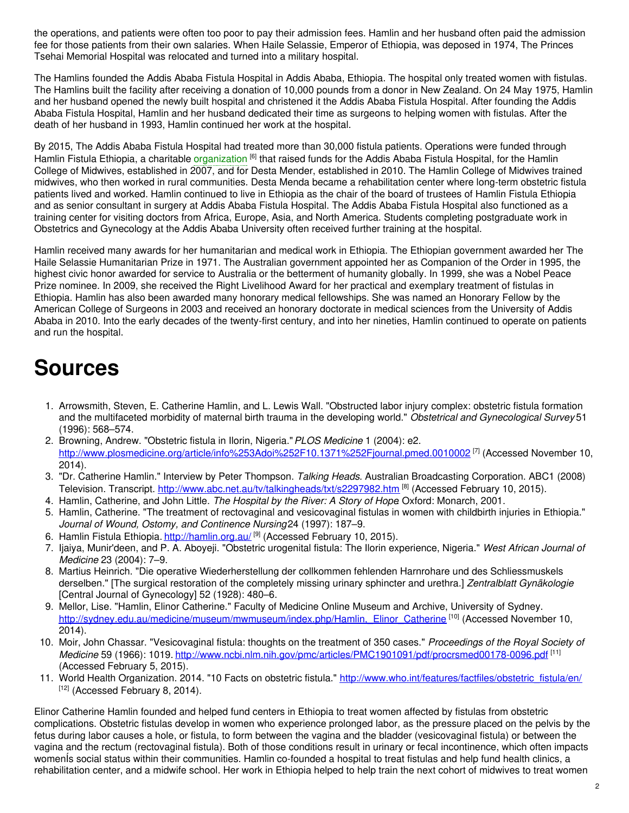the operations, and patients were often too poor to pay their admission fees. Hamlin and her husband often paid the admission fee for those patients from their own salaries. When Haile Selassie, Emperor of Ethiopia, was deposed in 1974, The Princes Tsehai Memorial Hospital was relocated and turned into a military hospital.

The Hamlins founded the Addis Ababa Fistula Hospital in Addis Ababa, Ethiopia. The hospital only treated women with fistulas. The Hamlins built the facility after receiving a donation of 10,000 pounds from a donor in New Zealand. On 24 May 1975, Hamlin and her husband opened the newly built hospital and christened it the Addis Ababa Fistula Hospital. After founding the Addis Ababa Fistula Hospital, Hamlin and her husband dedicated their time as surgeons to helping women with fistulas. After the death of her husband in 1993, Hamlin continued her work at the hospital.

By 2015, The Addis Ababa Fistula Hospital had treated more than 30,000 fistula patients. Operations were funded through Hamlin Fistula Ethiopia, a charitable [organization](https://embryo.asu.edu/search?text=organization) <sup>[6]</sup> that raised funds for the Addis Ababa Fistula Hospital, for the Hamlin College of Midwives, established in 2007, and for Desta Mender, established in 2010. The Hamlin College of Midwives trained midwives, who then worked in rural communities. Desta Menda became a rehabilitation center where long-term obstetric fistula patients lived and worked. Hamlin continued to live in Ethiopia as the chair of the board of trustees of Hamlin Fistula Ethiopia and as senior consultant in surgery at Addis Ababa Fistula Hospital. The Addis Ababa Fistula Hospital also functioned as a training center for visiting doctors from Africa, Europe, Asia, and North America. Students completing postgraduate work in Obstetrics and Gynecology at the Addis Ababa University often received further training at the hospital.

Hamlin received many awards for her humanitarian and medical work in Ethiopia. The Ethiopian government awarded her The Haile Selassie Humanitarian Prize in 1971. The Australian government appointed her as Companion of the Order in 1995, the highest civic honor awarded for service to Australia or the betterment of humanity globally. In 1999, she was a Nobel Peace Prize nominee. In 2009, she received the Right Livelihood Award for her practical and exemplary treatment of fistulas in Ethiopia. Hamlin has also been awarded many honorary medical fellowships. She was named an Honorary Fellow by the American College of Surgeons in 2003 and received an honorary doctorate in medical sciences from the University of Addis Ababa in 2010. Into the early decades of the twenty-first century, and into her nineties, Hamlin continued to operate on patients and run the hospital.

## **Sources**

- 1. Arrowsmith, Steven, E. Catherine Hamlin, and L. Lewis Wall. "Obstructed labor injury complex: obstetric fistula formation and the multifaceted morbidity of maternal birth trauma in the developing world." *Obstetrical and Gynecological Survey* 51 (1996): 568–574.
- 2. Browning, Andrew. "Obstetric fistula in Ilorin, Nigeria."*PLOS Medicine* 1 (2004): e2. <u>[http://www.plosmedicine.org/article/info%253Adoi%252F10.1371%252Fjournal.pmed.0010002](http://www.plosmedicine.org/article/info%25253Adoi%25252F10.1371%25252Fjournal.pmed.0010002)</u> <sup>[7]</sup> (Accessed November 10, 2014).
- 3. "Dr. Catherine Hamlin." Interview by Peter Thompson. *Talking Heads*. Australian Broadcasting Corporation. ABC1 (2008) Television. Transcript. <http://www.abc.net.au/tv/talkingheads/txt/s2297982.htm> [8] (Accessed February 10, 2015).
- 4. Hamlin, Catherine, and John Little. *The Hospital by the River: A Story of Hope*. Oxford: Monarch, 2001.
- 5. Hamlin, Catherine. "The treatment of rectovaginal and vesicovaginal fistulas in women with childbirth injuries in Ethiopia." *Journal of Wound, Ostomy, and Continence Nursing*24 (1997): 187–9.
- 6. Hamlin Fistula Ethiopia. *<http://hamlin.org.au/> <sup>[9]</sup> (Accesse*d February 10, 2015).
- 7. Ijaiya, Munir'deen, and P. A. Aboyeji. "Obstetric urogenital fistula: The Ilorin experience, Nigeria." *West African Journal of Medicine* 23 (2004): 7–9.
- 8. Martius Heinrich. "Die operative Wiederherstellung der collkommen fehlenden Harnrohare und des Schliessmuskels derselben." [The surgical restoration of the completely missing urinary sphincter and urethra.] *Zentralblatt Gynäkologie* [Central Journal of Gynecology] 52 (1928): 480–6.
- 9. Mellor, Lise. "Hamlin, Elinor Catherine." Faculty of Medicine Online Museum and Archive, University of Sydney. [http://sydney.edu.au/medicine/museum/mwmuseum/index.php/Hamlin,\\_Elinor\\_Catherine](http://sydney.edu.au/medicine/museum/mwmuseum/index.php/Hamlin,_Elinor_Catherine) <sup>[10]</sup> (Accessed November 10, 2014).
- 10. Moir, John Chassar. "Vesicovaginal fistula: thoughts on the treatment of 350 cases." *Proceedings of the Royal Society of Medicine* 59 (1966): 1019. <http://www.ncbi.nlm.nih.gov/pmc/articles/PMC1901091/pdf/procrsmed00178-0096.pdf> [11] (Accessed February 5, 2015).
- 11. World Health Organization. 2014. "10 Facts on obstetric fistula." [http://www.who.int/features/factfiles/obstetric\\_fistula/en/](http://www.who.int/features/factfiles/obstetric_fistula/en/)  $[12]$  (Accessed February 8, 2014).

Elinor Catherine Hamlin founded and helped fund centers in Ethiopia to treat women affected by fistulas from obstetric complications. Obstetric fistulas develop in women who experience prolonged labor, as the pressure placed on the pelvis by the fetus during labor causes a hole, or fistula, to form between the vagina and the bladder (vesicovaginal fistula) or between the vagina and the rectum (rectovaginal fistula). Both of those conditions result in urinary or fecal incontinence, which often impacts womenÍs social status within their communities. Hamlin co-founded a hospital to treat fistulas and help fund health clinics, a rehabilitation center, and a midwife school. Her work in Ethiopia helped to help train the next cohort of midwives to treat women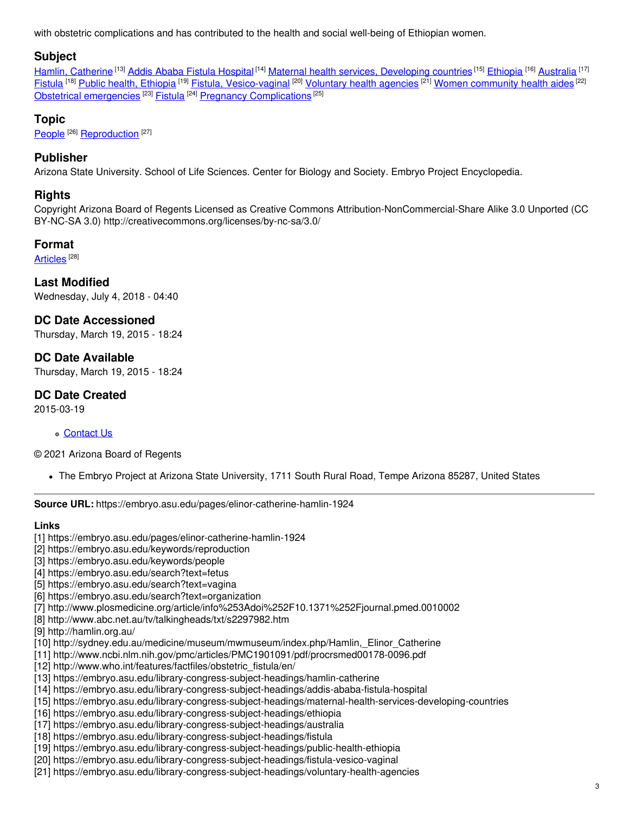with obstetric complications and has contributed to the health and social well-being of Ethiopian women.

## **Subject**

Hamlin, [Catherine](https://embryo.asu.edu/library-congress-subject-headings/hamlin-catherine) <sup>[13]</sup> Addis Ababa Fistula [Hospital](https://embryo.asu.edu/library-congress-subject-headings/addis-ababa-fistula-hospital) <sup>[14]</sup> Maternal health services, [Developing](https://embryo.asu.edu/library-congress-subject-headings/maternal-health-services-developing-countries) countries <sup>[15]</sup> [Ethiopia](https://embryo.asu.edu/library-congress-subject-headings/ethiopia) <sup>[16]</sup> [Australia](https://embryo.asu.edu/library-congress-subject-headings/australia) <sup>[17]</sup> <u>[Fistula](https://embryo.asu.edu/library-congress-subject-headings/fistula)</u> <sup>[18]</sup> <u>Public health, [Ethiopia](https://embryo.asu.edu/library-congress-subject-headings/public-health-ethiopia)</u> <sup>[19]</sup> <u>Fistula, [Vesico-vaginal](https://embryo.asu.edu/library-congress-subject-headings/fistula-vesico-vaginal) <sup>[20]</sup> [Voluntary](https://embryo.asu.edu/library-congress-subject-headings/voluntary-health-agencies) health agencies <sup>[21]</sup> Women [community](https://embryo.asu.edu/library-congress-subject-headings/women-community-health-aides) health aides <sup>[22]</sup></u> Obstetrical [emergencies](https://embryo.asu.edu/library-congress-subject-headings/obstetrical-emergencies) <sup>[23]</sup> [Fistula](https://embryo.asu.edu/medical-subject-headings/fistula) <sup>[24]</sup> Pregnancy [Complications](https://embryo.asu.edu/medical-subject-headings/pregnancy-complications) <sup>[25]</sup>

## **Topic**

[People](https://embryo.asu.edu/topics/people)<sup>[26]</sup> [Reproduction](https://embryo.asu.edu/topics/reproduction)<sup>[27]</sup>

## **Publisher**

Arizona State University. School of Life Sciences. Center for Biology and Society. Embryo Project Encyclopedia.

## **Rights**

Copyright Arizona Board of Regents Licensed as Creative Commons Attribution-NonCommercial-Share Alike 3.0 Unported (CC BY-NC-SA 3.0) http://creativecommons.org/licenses/by-nc-sa/3.0/

#### **Format**

<u>[Articles](https://embryo.asu.edu/formats/articles)</u>  $^{[28]}$ 

**Last Modified** Wednesday, July 4, 2018 - 04:40

**DC Date Accessioned** Thursday, March 19, 2015 - 18:24

**DC Date Available** Thursday, March 19, 2015 - 18:24

**DC Date Created** 2015-03-19

#### [Contact](https://embryo.asu.edu/contact) Us

© 2021 Arizona Board of Regents

The Embryo Project at Arizona State University, 1711 South Rural Road, Tempe Arizona 85287, United States

**Source URL:** https://embryo.asu.edu/pages/elinor-catherine-hamlin-1924

#### **Links**

- [1] https://embryo.asu.edu/pages/elinor-catherine-hamlin-1924
- [2] https://embryo.asu.edu/keywords/reproduction
- [3] https://embryo.asu.edu/keywords/people
- [4] https://embryo.asu.edu/search?text=fetus
- [5] https://embryo.asu.edu/search?text=vagina
- [6] https://embryo.asu.edu/search?text=organization
- [7] http://www.plosmedicine.org/article/info%253Adoi%252F10.1371%252Fjournal.pmed.0010002
- [8] http://www.abc.net.au/tv/talkingheads/txt/s2297982.htm
- [9] http://hamlin.org.au/
- [10] http://sydney.edu.au/medicine/museum/mwmuseum/index.php/Hamlin,\_Elinor\_Catherine
- [11] http://www.ncbi.nlm.nih.gov/pmc/articles/PMC1901091/pdf/procrsmed00178-0096.pdf
- [12] http://www.who.int/features/factfiles/obstetric\_fistula/en/
- [13] https://embryo.asu.edu/library-congress-subject-headings/hamlin-catherine
- [14] https://embryo.asu.edu/library-congress-subject-headings/addis-ababa-fistula-hospital
- [15] https://embryo.asu.edu/library-congress-subject-headings/maternal-health-services-developing-countries
- [16] https://embryo.asu.edu/library-congress-subject-headings/ethiopia
- [17] https://embryo.asu.edu/library-congress-subject-headings/australia
- [18] https://embryo.asu.edu/library-congress-subject-headings/fistula
- [19] https://embryo.asu.edu/library-congress-subject-headings/public-health-ethiopia
- [20] https://embryo.asu.edu/library-congress-subject-headings/fistula-vesico-vaginal
- [21] https://embryo.asu.edu/library-congress-subject-headings/voluntary-health-agencies